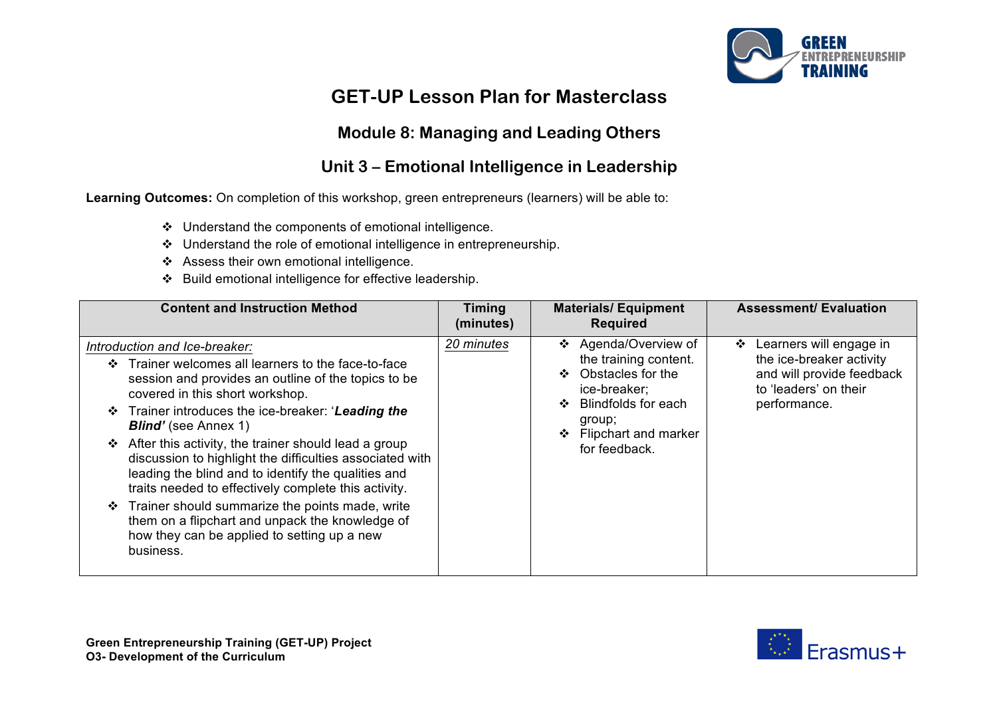

# **GET-UP Lesson Plan for Masterclass**

### **Module 8: Managing and Leading Others**

### **Unit 3 – Emotional Intelligence in Leadership**

**Learning Outcomes:** On completion of this workshop, green entrepreneurs (learners) will be able to:

- v Understand the components of emotional intelligence.
- $\div$  Understand the role of emotional intelligence in entrepreneurship.
- \* Assess their own emotional intelligence.
- v Build emotional intelligence for effective leadership.

| <b>Content and Instruction Method</b>                                                                                                                                                                                                                                                                                                                                                                                                                                                                                                                                                                                                                                                          | <b>Timing</b><br>(minutes) | <b>Materials/Equipment</b><br><b>Required</b>                                                                                                                                    | <b>Assessment/ Evaluation</b>                                                                                                  |
|------------------------------------------------------------------------------------------------------------------------------------------------------------------------------------------------------------------------------------------------------------------------------------------------------------------------------------------------------------------------------------------------------------------------------------------------------------------------------------------------------------------------------------------------------------------------------------------------------------------------------------------------------------------------------------------------|----------------------------|----------------------------------------------------------------------------------------------------------------------------------------------------------------------------------|--------------------------------------------------------------------------------------------------------------------------------|
| Introduction and Ice-breaker:<br>Trainer welcomes all learners to the face-to-face<br>$\mathbf{A}$<br>session and provides an outline of the topics to be<br>covered in this short workshop.<br>Trainer introduces the ice-breaker: 'Leading the<br><b>Blind'</b> (see Annex 1)<br>After this activity, the trainer should lead a group<br>❖<br>discussion to highlight the difficulties associated with<br>leading the blind and to identify the qualities and<br>traits needed to effectively complete this activity.<br>Trainer should summarize the points made, write<br>❖<br>them on a flipchart and unpack the knowledge of<br>how they can be applied to setting up a new<br>business. | 20 minutes                 | Agenda/Overview of<br>❖<br>the training content.<br>Obstacles for the<br>❖<br>ice-breaker;<br><b>Blindfolds for each</b><br>group;<br>Flipchart and marker<br>❖<br>for feedback. | Learners will engage in<br>❖<br>the ice-breaker activity<br>and will provide feedback<br>to 'leaders' on their<br>performance. |

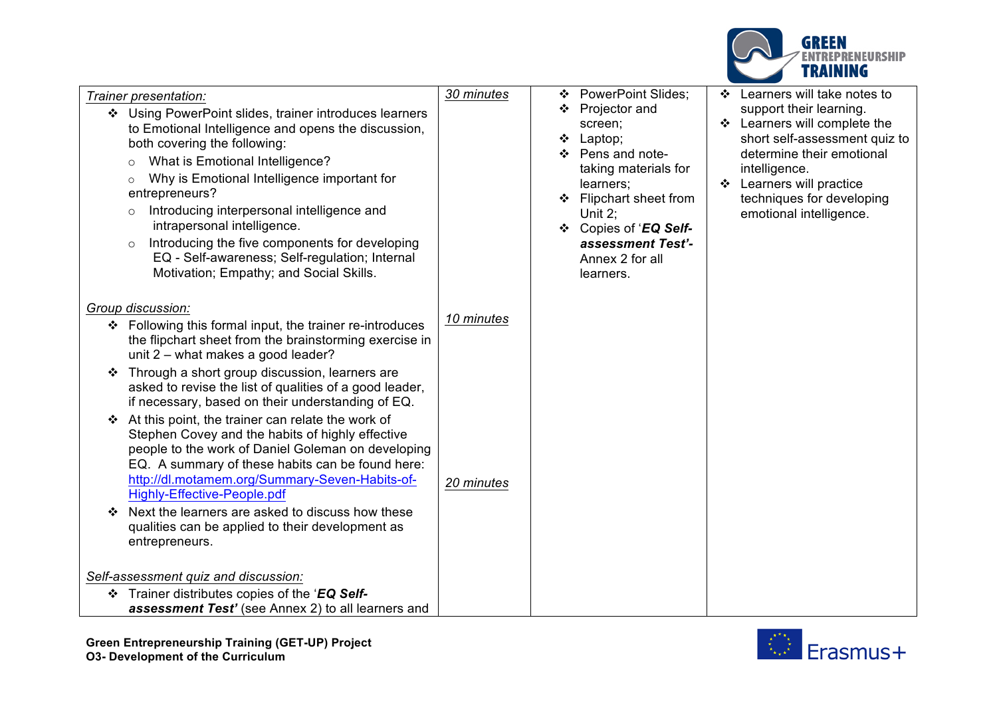

| Trainer presentation:<br>Using PowerPoint slides, trainer introduces learners<br>❖<br>to Emotional Intelligence and opens the discussion,<br>both covering the following:<br>What is Emotional Intelligence?<br>$\circ$<br>Why is Emotional Intelligence important for<br>$\circ$<br>entrepreneurs?<br>Introducing interpersonal intelligence and<br>$\circ$<br>intrapersonal intelligence.<br>Introducing the five components for developing<br>$\circ$<br>EQ - Self-awareness; Self-regulation; Internal<br>Motivation; Empathy; and Social Skills. | 30 minutes | <b>PowerPoint Slides;</b><br>❖<br>Projector and<br>❖<br>screen;<br>Laptop;<br>❖<br>Pens and note-<br>❖<br>taking materials for<br>learners;<br>Flipchart sheet from<br>Unit $2$ ;<br>❖ Copies of 'EQ Self-<br>assessment Test'-<br>Annex 2 for all<br>learners. | Learners will take notes to<br>support their learning.<br>❖ Learners will complete the<br>short self-assessment quiz to<br>determine their emotional<br>intelligence.<br>Learners will practice<br>$\cdot$<br>techniques for developing<br>emotional intelligence. |
|-------------------------------------------------------------------------------------------------------------------------------------------------------------------------------------------------------------------------------------------------------------------------------------------------------------------------------------------------------------------------------------------------------------------------------------------------------------------------------------------------------------------------------------------------------|------------|-----------------------------------------------------------------------------------------------------------------------------------------------------------------------------------------------------------------------------------------------------------------|--------------------------------------------------------------------------------------------------------------------------------------------------------------------------------------------------------------------------------------------------------------------|
| Group discussion:<br>❖ Following this formal input, the trainer re-introduces<br>the flipchart sheet from the brainstorming exercise in<br>unit 2 - what makes a good leader?                                                                                                                                                                                                                                                                                                                                                                         | 10 minutes |                                                                                                                                                                                                                                                                 |                                                                                                                                                                                                                                                                    |
| Through a short group discussion, learners are<br>❖<br>asked to revise the list of qualities of a good leader,<br>if necessary, based on their understanding of EQ.                                                                                                                                                                                                                                                                                                                                                                                   |            |                                                                                                                                                                                                                                                                 |                                                                                                                                                                                                                                                                    |
| At this point, the trainer can relate the work of<br>Stephen Covey and the habits of highly effective<br>people to the work of Daniel Goleman on developing<br>EQ. A summary of these habits can be found here:<br>http://dl.motamem.org/Summary-Seven-Habits-of-<br><b>Highly-Effective-People.pdf</b><br>Next the learners are asked to discuss how these                                                                                                                                                                                           | 20 minutes |                                                                                                                                                                                                                                                                 |                                                                                                                                                                                                                                                                    |
| qualities can be applied to their development as<br>entrepreneurs.<br>Self-assessment quiz and discussion:                                                                                                                                                                                                                                                                                                                                                                                                                                            |            |                                                                                                                                                                                                                                                                 |                                                                                                                                                                                                                                                                    |
| ❖ Trainer distributes copies of the 'EQ Self-                                                                                                                                                                                                                                                                                                                                                                                                                                                                                                         |            |                                                                                                                                                                                                                                                                 |                                                                                                                                                                                                                                                                    |
| assessment Test' (see Annex 2) to all learners and                                                                                                                                                                                                                                                                                                                                                                                                                                                                                                    |            |                                                                                                                                                                                                                                                                 |                                                                                                                                                                                                                                                                    |

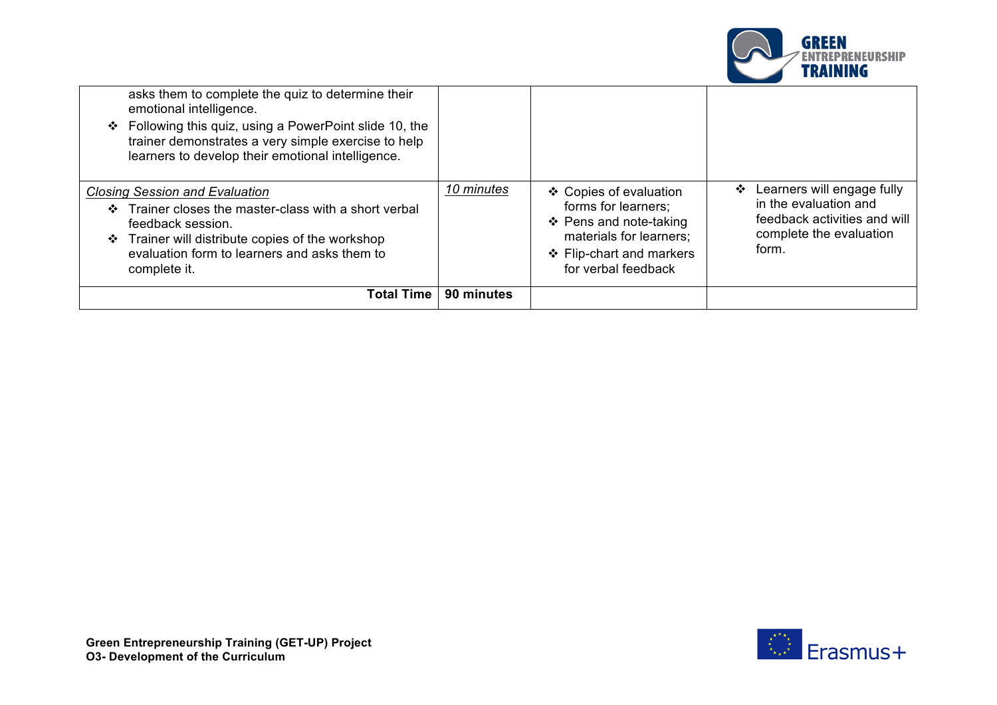

| emotional intelligence.<br>❖ Following this quiz, using a PowerPoint slide 10, the<br>trainer demonstrates a very simple exercise to help<br>learners to develop their emotional intelligence.<br><b>Closing Session and Evaluation</b><br>Trainer closes the master-class with a short verbal<br>$\cdot$<br>feedback session. | 10 minutes | ❖ Copies of evaluation<br>forms for learners;<br>❖ Pens and note-taking    | Learners will engage fully<br>❖<br>in the evaluation and<br>feedback activities and will |
|--------------------------------------------------------------------------------------------------------------------------------------------------------------------------------------------------------------------------------------------------------------------------------------------------------------------------------|------------|----------------------------------------------------------------------------|------------------------------------------------------------------------------------------|
| ❖ Trainer will distribute copies of the workshop<br>evaluation form to learners and asks them to<br>complete it.                                                                                                                                                                                                               |            | materials for learners;<br>❖ Flip-chart and markers<br>for verbal feedback | complete the evaluation<br>form.                                                         |
| Total Time I                                                                                                                                                                                                                                                                                                                   | 90 minutes |                                                                            |                                                                                          |

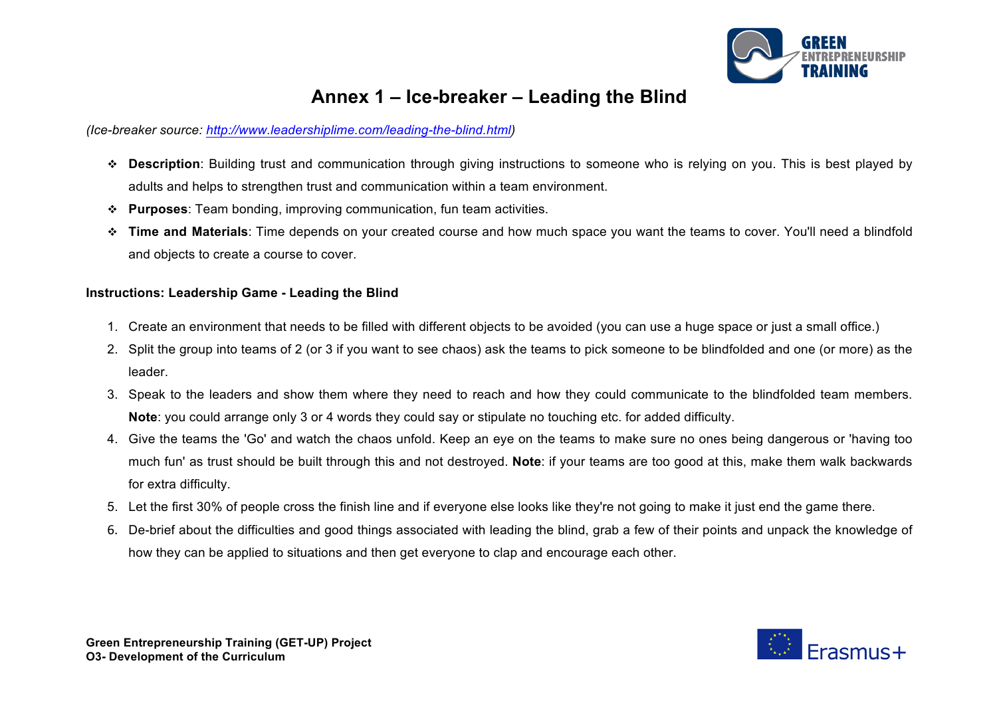

## **Annex 1 – Ice-breaker – Leading the Blind**

#### *(Ice-breaker source: http://www.leadershiplime.com/leading-the-blind.html)*

- v **Description**: Building trust and communication through giving instructions to someone who is relying on you. This is best played by adults and helps to strengthen trust and communication within a team environment.
- v **Purposes**: Team bonding, improving communication, fun team activities.
- v **Time and Materials**: Time depends on your created course and how much space you want the teams to cover. You'll need a blindfold and objects to create a course to cover.

#### **Instructions: Leadership Game - Leading the Blind**

- 1. Create an environment that needs to be filled with different objects to be avoided (you can use a huge space or just a small office.)
- 2. Split the group into teams of 2 (or 3 if you want to see chaos) ask the teams to pick someone to be blindfolded and one (or more) as the leader.
- 3. Speak to the leaders and show them where they need to reach and how they could communicate to the blindfolded team members. **Note**: you could arrange only 3 or 4 words they could say or stipulate no touching etc. for added difficulty.
- 4. Give the teams the 'Go' and watch the chaos unfold. Keep an eye on the teams to make sure no ones being dangerous or 'having too much fun' as trust should be built through this and not destroyed. **Note**: if your teams are too good at this, make them walk backwards for extra difficulty.
- 5. Let the first 30% of people cross the finish line and if everyone else looks like they're not going to make it just end the game there.
- 6. De-brief about the difficulties and good things associated with leading the blind, grab a few of their points and unpack the knowledge of how they can be applied to situations and then get everyone to clap and encourage each other.

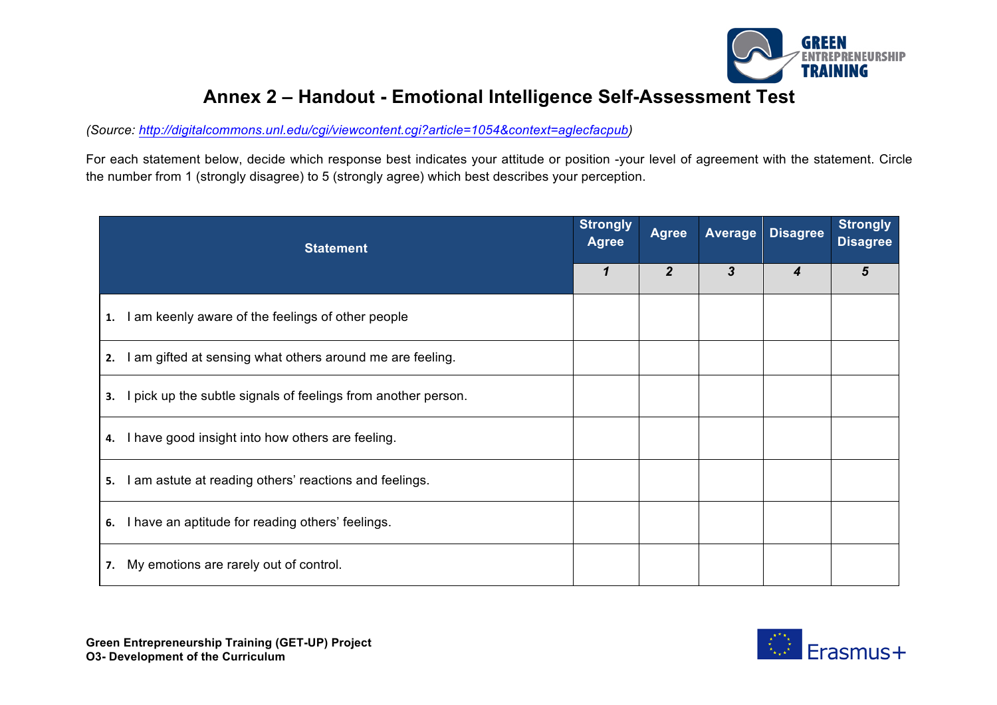

## **Annex 2 – Handout - Emotional Intelligence Self-Assessment Test**

*(Source: http://digitalcommons.unl.edu/cgi/viewcontent.cgi?article=1054&context=aglecfacpub)*

For each statement below, decide which response best indicates your attitude or position -your level of agreement with the statement. Circle the number from 1 (strongly disagree) to 5 (strongly agree) which best describes your perception.

| <b>Statement</b>                                                  |  | <b>Agree</b>   | <b>Average</b> | <b>Disagree</b> | <b>Strongly</b><br><b>Disagree</b> |
|-------------------------------------------------------------------|--|----------------|----------------|-----------------|------------------------------------|
|                                                                   |  | $\overline{2}$ | 3              | 4               | 5                                  |
| I am keenly aware of the feelings of other people<br>1.           |  |                |                |                 |                                    |
| I am gifted at sensing what others around me are feeling.<br>2.   |  |                |                |                 |                                    |
| pick up the subtle signals of feelings from another person.<br>3. |  |                |                |                 |                                    |
| I have good insight into how others are feeling.<br>4.            |  |                |                |                 |                                    |
| I am astute at reading others' reactions and feelings.<br>5.      |  |                |                |                 |                                    |
| I have an aptitude for reading others' feelings.<br>6.            |  |                |                |                 |                                    |
| My emotions are rarely out of control.<br>7.                      |  |                |                |                 |                                    |

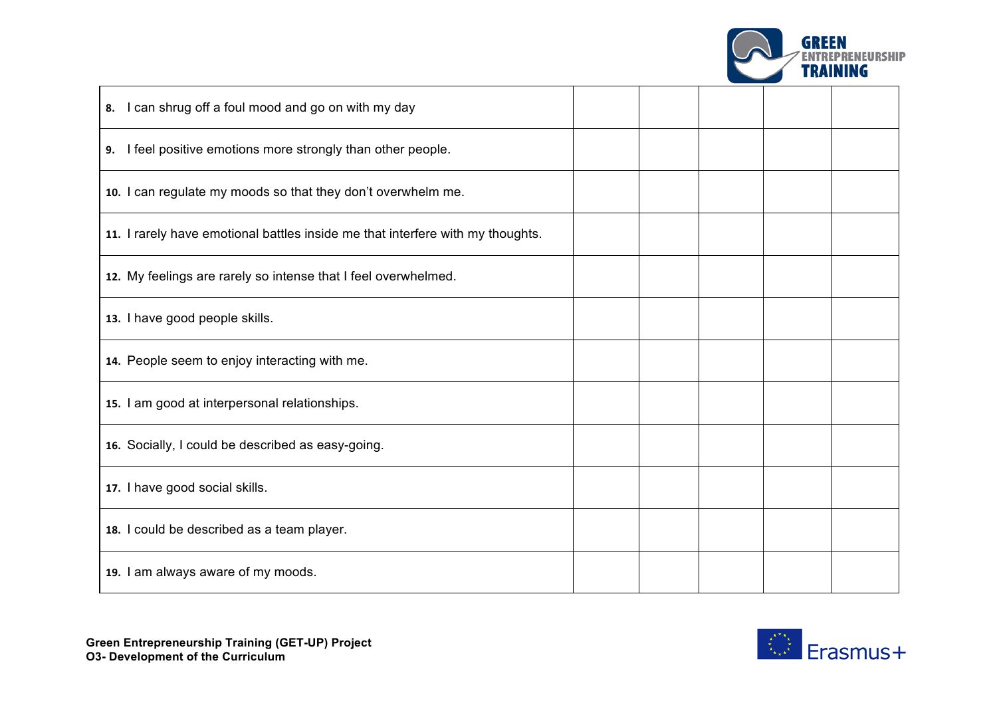

| 8. I can shrug off a foul mood and go on with my day                           |  |  |  |
|--------------------------------------------------------------------------------|--|--|--|
| 9. I feel positive emotions more strongly than other people.                   |  |  |  |
| 10. I can regulate my moods so that they don't overwhelm me.                   |  |  |  |
| 11. I rarely have emotional battles inside me that interfere with my thoughts. |  |  |  |
| 12. My feelings are rarely so intense that I feel overwhelmed.                 |  |  |  |
| 13. I have good people skills.                                                 |  |  |  |
| 14. People seem to enjoy interacting with me.                                  |  |  |  |
| 15. I am good at interpersonal relationships.                                  |  |  |  |
| 16. Socially, I could be described as easy-going.                              |  |  |  |
| 17. I have good social skills.                                                 |  |  |  |
| 18. I could be described as a team player.                                     |  |  |  |
| 19. I am always aware of my moods.                                             |  |  |  |